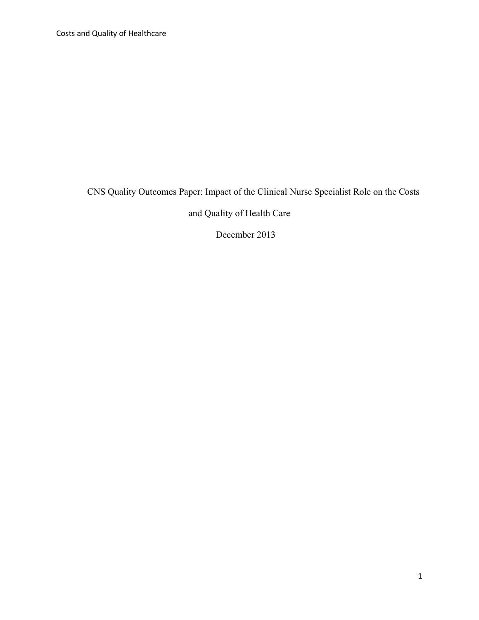Costs and Quality of Healthcare

CNS Quality Outcomes Paper: Impact of the Clinical Nurse Specialist Role on the Costs

and Quality of Health Care

December 2013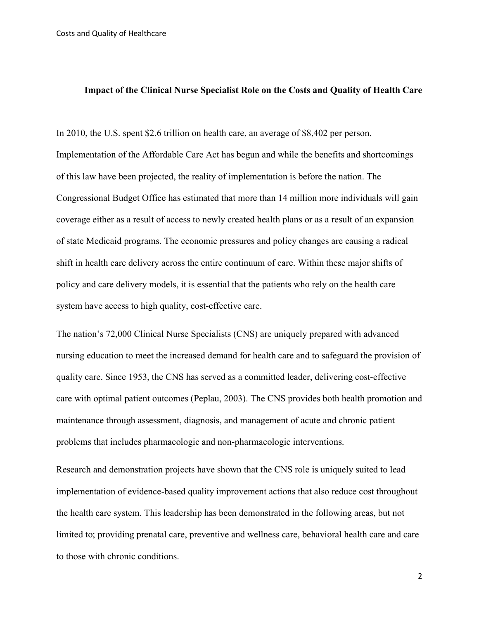### **Impact of the Clinical Nurse Specialist Role on the Costs and Quality of Health Care**

In 2010, the U.S. spent \$2.6 trillion on health care, an average of \$8,402 per person. Implementation of the Affordable Care Act has begun and while the benefits and shortcomings of this law have been projected, the reality of implementation is before the nation. The Congressional Budget Office has estimated that more than 14 million more individuals will gain coverage either as a result of access to newly created health plans or as a result of an expansion of state Medicaid programs. The economic pressures and policy changes are causing a radical shift in health care delivery across the entire continuum of care. Within these major shifts of policy and care delivery models, it is essential that the patients who rely on the health care system have access to high quality, cost-effective care.

The nation's 72,000 Clinical Nurse Specialists (CNS) are uniquely prepared with advanced nursing education to meet the increased demand for health care and to safeguard the provision of quality care. Since 1953, the CNS has served as a committed leader, delivering cost-effective care with optimal patient outcomes (Peplau, 2003). The CNS provides both health promotion and maintenance through assessment, diagnosis, and management of acute and chronic patient problems that includes pharmacologic and non-pharmacologic interventions.

Research and demonstration projects have shown that the CNS role is uniquely suited to lead implementation of evidence-based quality improvement actions that also reduce cost throughout the health care system. This leadership has been demonstrated in the following areas, but not limited to; providing prenatal care, preventive and wellness care, behavioral health care and care to those with chronic conditions.

2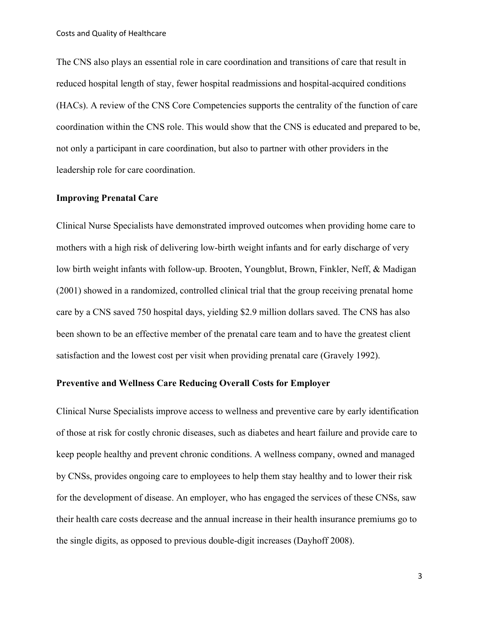The CNS also plays an essential role in care coordination and transitions of care that result in reduced hospital length of stay, fewer hospital readmissions and hospital-acquired conditions (HACs). A review of the CNS Core Competencies supports the centrality of the function of care coordination within the CNS role. This would show that the CNS is educated and prepared to be, not only a participant in care coordination, but also to partner with other providers in the leadership role for care coordination.

### **Improving Prenatal Care**

Clinical Nurse Specialists have demonstrated improved outcomes when providing home care to mothers with a high risk of delivering low-birth weight infants and for early discharge of very low birth weight infants with follow-up. Brooten, Youngblut, Brown, Finkler, Neff, & Madigan (2001) showed in a randomized, controlled clinical trial that the group receiving prenatal home care by a CNS saved 750 hospital days, yielding \$2.9 million dollars saved. The CNS has also been shown to be an effective member of the prenatal care team and to have the greatest client satisfaction and the lowest cost per visit when providing prenatal care (Gravely 1992).

# **Preventive and Wellness Care Reducing Overall Costs for Employer**

Clinical Nurse Specialists improve access to wellness and preventive care by early identification of those at risk for costly chronic diseases, such as diabetes and heart failure and provide care to keep people healthy and prevent chronic conditions. A wellness company, owned and managed by CNSs, provides ongoing care to employees to help them stay healthy and to lower their risk for the development of disease. An employer, who has engaged the services of these CNSs, saw their health care costs decrease and the annual increase in their health insurance premiums go to the single digits, as opposed to previous double-digit increases (Dayhoff 2008).

3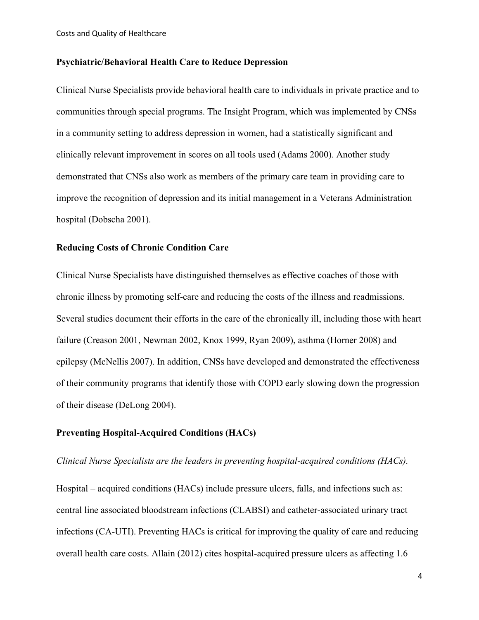### **Psychiatric/Behavioral Health Care to Reduce Depression**

Clinical Nurse Specialists provide behavioral health care to individuals in private practice and to communities through special programs. The Insight Program, which was implemented by CNSs in a community setting to address depression in women, had a statistically significant and clinically relevant improvement in scores on all tools used (Adams 2000). Another study demonstrated that CNSs also work as members of the primary care team in providing care to improve the recognition of depression and its initial management in a Veterans Administration hospital (Dobscha 2001).

### **Reducing Costs of Chronic Condition Care**

Clinical Nurse Specialists have distinguished themselves as effective coaches of those with chronic illness by promoting self-care and reducing the costs of the illness and readmissions. Several studies document their efforts in the care of the chronically ill, including those with heart failure (Creason 2001, Newman 2002, Knox 1999, Ryan 2009), asthma (Horner 2008) and epilepsy (McNellis 2007). In addition, CNSs have developed and demonstrated the effectiveness of their community programs that identify those with COPD early slowing down the progression of their disease (DeLong 2004).

## **Preventing Hospital-Acquired Conditions (HACs)**

## *Clinical Nurse Specialists are the leaders in preventing hospital-acquired conditions (HACs).*

Hospital – acquired conditions (HACs) include pressure ulcers, falls, and infections such as: central line associated bloodstream infections (CLABSI) and catheter-associated urinary tract infections (CA-UTI). Preventing HACs is critical for improving the quality of care and reducing overall health care costs. Allain (2012) cites hospital-acquired pressure ulcers as affecting 1.6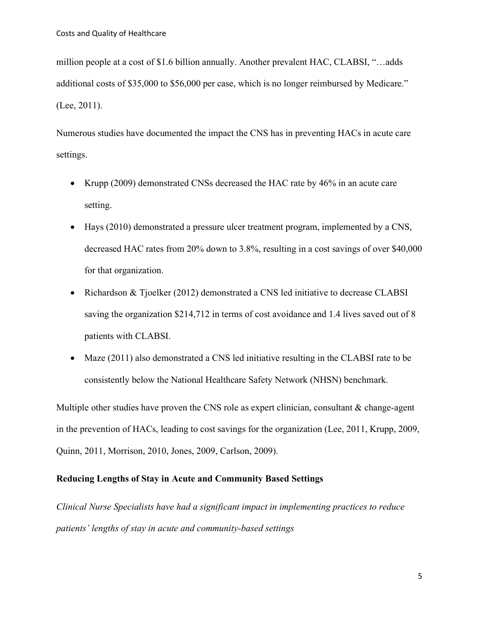million people at a cost of \$1.6 billion annually. Another prevalent HAC, CLABSI, "…adds additional costs of \$35,000 to \$56,000 per case, which is no longer reimbursed by Medicare." (Lee, 2011).

Numerous studies have documented the impact the CNS has in preventing HACs in acute care settings.

- Krupp (2009) demonstrated CNSs decreased the HAC rate by 46% in an acute care setting.
- Hays (2010) demonstrated a pressure ulcer treatment program, implemented by a CNS, decreased HAC rates from 20% down to 3.8%, resulting in a cost savings of over \$40,000 for that organization.
- Richardson & Tjoelker (2012) demonstrated a CNS led initiative to decrease CLABSI saving the organization \$214,712 in terms of cost avoidance and 1.4 lives saved out of 8 patients with CLABSI.
- Maze (2011) also demonstrated a CNS led initiative resulting in the CLABSI rate to be consistently below the National Healthcare Safety Network (NHSN) benchmark.

Multiple other studies have proven the CNS role as expert clinician, consultant  $\&$  change-agent in the prevention of HACs, leading to cost savings for the organization (Lee, 2011, Krupp, 2009, Quinn, 2011, Morrison, 2010, Jones, 2009, Carlson, 2009).

# **Reducing Lengths of Stay in Acute and Community Based Settings**

*Clinical Nurse Specialists have had a significant impact in implementing practices to reduce patients' lengths of stay in acute and community-based settings*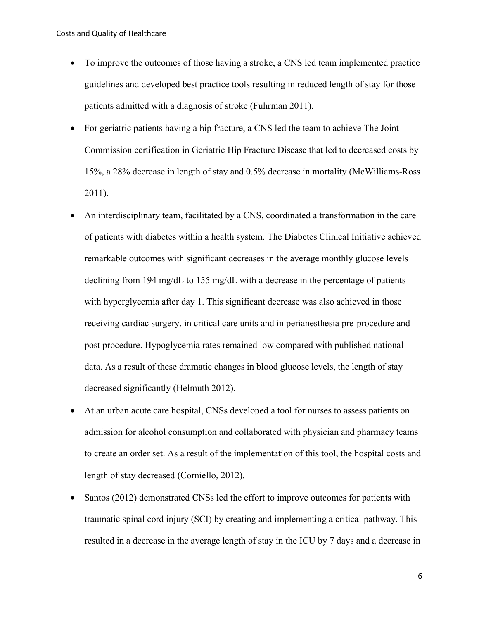- To improve the outcomes of those having a stroke, a CNS led team implemented practice guidelines and developed best practice tools resulting in reduced length of stay for those patients admitted with a diagnosis of stroke (Fuhrman 2011).
- For geriatric patients having a hip fracture, a CNS led the team to achieve The Joint Commission certification in Geriatric Hip Fracture Disease that led to decreased costs by 15%, a 28% decrease in length of stay and 0.5% decrease in mortality (McWilliams-Ross 2011).
- An interdisciplinary team, facilitated by a CNS, coordinated a transformation in the care of patients with diabetes within a health system. The Diabetes Clinical Initiative achieved remarkable outcomes with significant decreases in the average monthly glucose levels declining from 194 mg/dL to 155 mg/dL with a decrease in the percentage of patients with hyperglycemia after day 1. This significant decrease was also achieved in those receiving cardiac surgery, in critical care units and in perianesthesia pre-procedure and post procedure. Hypoglycemia rates remained low compared with published national data. As a result of these dramatic changes in blood glucose levels, the length of stay decreased significantly (Helmuth 2012).
- At an urban acute care hospital, CNSs developed a tool for nurses to assess patients on admission for alcohol consumption and collaborated with physician and pharmacy teams to create an order set. As a result of the implementation of this tool, the hospital costs and length of stay decreased (Corniello, 2012).
- Santos (2012) demonstrated CNSs led the effort to improve outcomes for patients with traumatic spinal cord injury (SCI) by creating and implementing a critical pathway. This resulted in a decrease in the average length of stay in the ICU by 7 days and a decrease in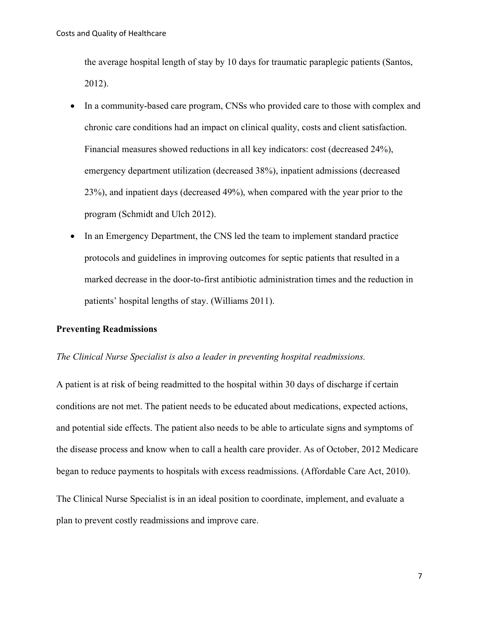the average hospital length of stay by 10 days for traumatic paraplegic patients (Santos, 2012).

- In a community-based care program, CNSs who provided care to those with complex and chronic care conditions had an impact on clinical quality, costs and client satisfaction. Financial measures showed reductions in all key indicators: cost (decreased 24%), emergency department utilization (decreased 38%), inpatient admissions (decreased 23%), and inpatient days (decreased 49%), when compared with the year prior to the program (Schmidt and Ulch 2012).
- In an Emergency Department, the CNS led the team to implement standard practice protocols and guidelines in improving outcomes for septic patients that resulted in a marked decrease in the door-to-first antibiotic administration times and the reduction in patients' hospital lengths of stay. (Williams 2011).

### **Preventing Readmissions**

### *The Clinical Nurse Specialist is also a leader in preventing hospital readmissions.*

A patient is at risk of being readmitted to the hospital within 30 days of discharge if certain conditions are not met. The patient needs to be educated about medications, expected actions, and potential side effects. The patient also needs to be able to articulate signs and symptoms of the disease process and know when to call a health care provider. As of October, 2012 Medicare began to reduce payments to hospitals with excess readmissions. (Affordable Care Act, 2010).

The Clinical Nurse Specialist is in an ideal position to coordinate, implement, and evaluate a plan to prevent costly readmissions and improve care.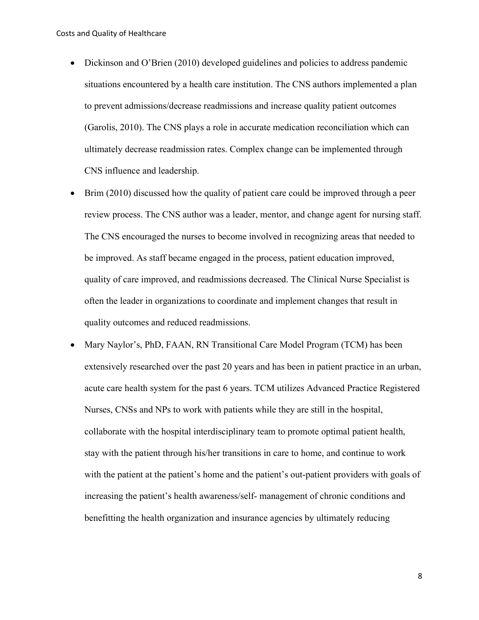- Dickinson and O'Brien (2010) developed guidelines and policies to address pandemic situations encountered by a health care institution. The CNS authors implemented a plan to prevent admissions/decrease readmissions and increase quality patient outcomes (Garolis, 2010). The CNS plays a role in accurate medication reconciliation which can ultimately decrease readmission rates. Complex change can be implemented through CNS influence and leadership.
- Brim (2010) discussed how the quality of patient care could be improved through a peer review process. The CNS author was a leader, mentor, and change agent for nursing staff. The CNS encouraged the nurses to become involved in recognizing areas that needed to be improved. As staff became engaged in the process, patient education improved, quality of care improved, and readmissions decreased. The Clinical Nurse Specialist is often the leader in organizations to coordinate and implement changes that result in quality outcomes and reduced readmissions.
- Mary Naylor's, PhD, FAAN, RN Transitional Care Model Program (TCM) has been extensively researched over the past 20 years and has been in patient practice in an urban, acute care health system for the past 6 years. TCM utilizes Advanced Practice Registered Nurses, CNSs and NPs to work with patients while they are still in the hospital, collaborate with the hospital interdisciplinary team to promote optimal patient health, stay with the patient through his/her transitions in care to home, and continue to work with the patient at the patient's home and the patient's out-patient providers with goals of increasing the patient's health awareness/self- management of chronic conditions and benefitting the health organization and insurance agencies by ultimately reducing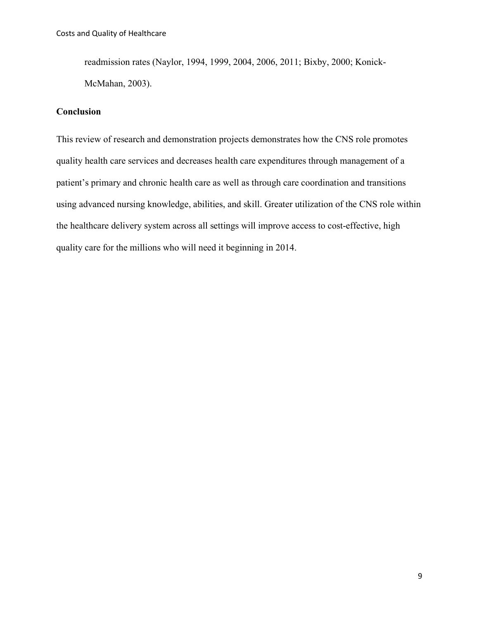readmission rates (Naylor, 1994, 1999, 2004, 2006, 2011; Bixby, 2000; Konick-McMahan, 2003).

# **Conclusion**

This review of research and demonstration projects demonstrates how the CNS role promotes quality health care services and decreases health care expenditures through management of a patient's primary and chronic health care as well as through care coordination and transitions using advanced nursing knowledge, abilities, and skill. Greater utilization of the CNS role within the healthcare delivery system across all settings will improve access to cost-effective, high quality care for the millions who will need it beginning in 2014.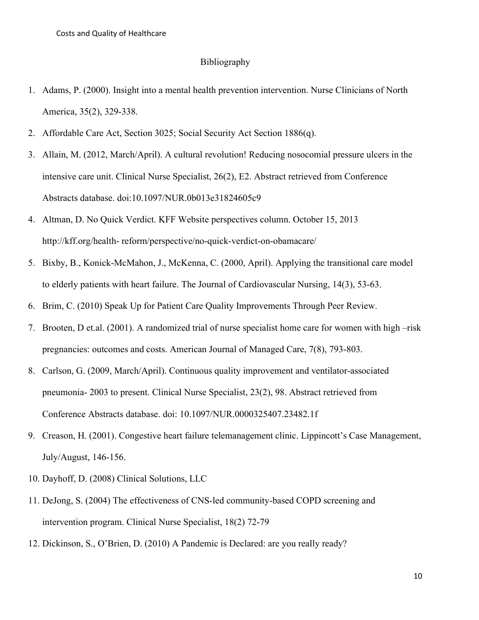#### Bibliography

- 1. Adams, P. (2000). Insight into a mental health prevention intervention. Nurse Clinicians of North America, 35(2), 329-338.
- 2. Affordable Care Act, Section 3025; Social Security Act Section 1886(q).
- 3. Allain, M. (2012, March/April). A cultural revolution! Reducing nosocomial pressure ulcers in the intensive care unit. Clinical Nurse Specialist, 26(2), E2. Abstract retrieved from Conference Abstracts database. doi:10.1097/NUR.0b013e31824605c9
- 4. Altman, D. No Quick Verdict. KFF Website perspectives column. October 15, 2013 http://kff.org/health- reform/perspective/no-quick-verdict-on-obamacare/
- 5. Bixby, B., Konick-McMahon, J., McKenna, C. (2000, April). Applying the transitional care model to elderly patients with heart failure. The Journal of Cardiovascular Nursing, 14(3), 53-63.
- 6. Brim, C. (2010) Speak Up for Patient Care Quality Improvements Through Peer Review.
- 7. Brooten, D et.al. (2001). A randomized trial of nurse specialist home care for women with high –risk pregnancies: outcomes and costs. American Journal of Managed Care, 7(8), 793-803.
- 8. Carlson, G. (2009, March/April). Continuous quality improvement and ventilator-associated pneumonia- 2003 to present. Clinical Nurse Specialist, 23(2), 98. Abstract retrieved from Conference Abstracts database. doi: 10.1097/NUR.0000325407.23482.1f
- 9. Creason, H. (2001). Congestive heart failure telemanagement clinic. Lippincott's Case Management, July/August, 146-156.
- 10. Dayhoff, D. (2008) Clinical Solutions, LLC
- 11. DeJong, S. (2004) The effectiveness of CNS-led community-based COPD screening and intervention program. Clinical Nurse Specialist, 18(2) 72-79
- 12. Dickinson, S., O'Brien, D. (2010) A Pandemic is Declared: are you really ready?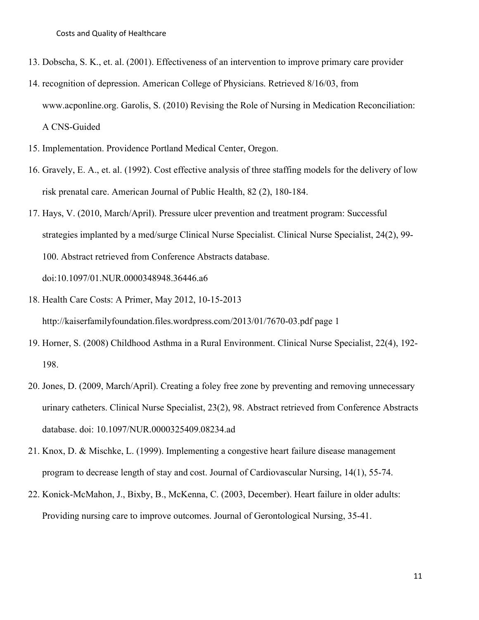- 13. Dobscha, S. K., et. al. (2001). Effectiveness of an intervention to improve primary care provider
- 14. recognition of depression. American College of Physicians. Retrieved 8/16/03, from www.acponline.org. Garolis, S. (2010) Revising the Role of Nursing in Medication Reconciliation: A CNS-Guided
- 15. Implementation. Providence Portland Medical Center, Oregon.
- 16. Gravely, E. A., et. al. (1992). Cost effective analysis of three staffing models for the delivery of low risk prenatal care. American Journal of Public Health, 82 (2), 180-184.
- 17. Hays, V. (2010, March/April). Pressure ulcer prevention and treatment program: Successful strategies implanted by a med/surge Clinical Nurse Specialist. Clinical Nurse Specialist, 24(2), 99- 100. Abstract retrieved from Conference Abstracts database. doi:10.1097/01.NUR.0000348948.36446.a6
- 18. Health Care Costs: A Primer, May 2012, 10-15-2013 http://kaiserfamilyfoundation.files.wordpress.com/2013/01/7670-03.pdf page 1
- 19. Horner, S. (2008) Childhood Asthma in a Rural Environment. Clinical Nurse Specialist, 22(4), 192- 198.
- 20. Jones, D. (2009, March/April). Creating a foley free zone by preventing and removing unnecessary urinary catheters. Clinical Nurse Specialist, 23(2), 98. Abstract retrieved from Conference Abstracts database. doi: 10.1097/NUR.0000325409.08234.ad
- 21. Knox, D. & Mischke, L. (1999). Implementing a congestive heart failure disease management program to decrease length of stay and cost. Journal of Cardiovascular Nursing, 14(1), 55-74.
- 22. Konick-McMahon, J., Bixby, B., McKenna, C. (2003, December). Heart failure in older adults: Providing nursing care to improve outcomes. Journal of Gerontological Nursing, 35-41.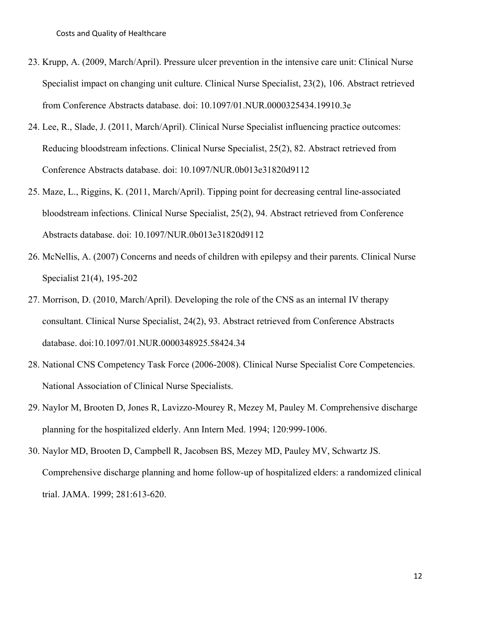- 23. Krupp, A. (2009, March/April). Pressure ulcer prevention in the intensive care unit: Clinical Nurse Specialist impact on changing unit culture. Clinical Nurse Specialist, 23(2), 106. Abstract retrieved from Conference Abstracts database. doi: 10.1097/01.NUR.0000325434.19910.3e
- 24. Lee, R., Slade, J. (2011, March/April). Clinical Nurse Specialist influencing practice outcomes: Reducing bloodstream infections. Clinical Nurse Specialist, 25(2), 82. Abstract retrieved from Conference Abstracts database. doi: 10.1097/NUR.0b013e31820d9112
- 25. Maze, L., Riggins, K. (2011, March/April). Tipping point for decreasing central line-associated bloodstream infections. Clinical Nurse Specialist, 25(2), 94. Abstract retrieved from Conference Abstracts database. doi: 10.1097/NUR.0b013e31820d9112
- 26. McNellis, A. (2007) Concerns and needs of children with epilepsy and their parents. Clinical Nurse Specialist 21(4), 195-202
- 27. Morrison, D. (2010, March/April). Developing the role of the CNS as an internal IV therapy consultant. Clinical Nurse Specialist, 24(2), 93. Abstract retrieved from Conference Abstracts database. doi:10.1097/01.NUR.0000348925.58424.34
- 28. National CNS Competency Task Force (2006-2008). Clinical Nurse Specialist Core Competencies. National Association of Clinical Nurse Specialists.
- 29. Naylor M, Brooten D, Jones R, Lavizzo-Mourey R, Mezey M, Pauley M. Comprehensive discharge planning for the hospitalized elderly. Ann Intern Med. 1994; 120:999-1006.
- 30. Naylor MD, Brooten D, Campbell R, Jacobsen BS, Mezey MD, Pauley MV, Schwartz JS. Comprehensive discharge planning and home follow-up of hospitalized elders: a randomized clinical trial. JAMA. 1999; 281:613-620.